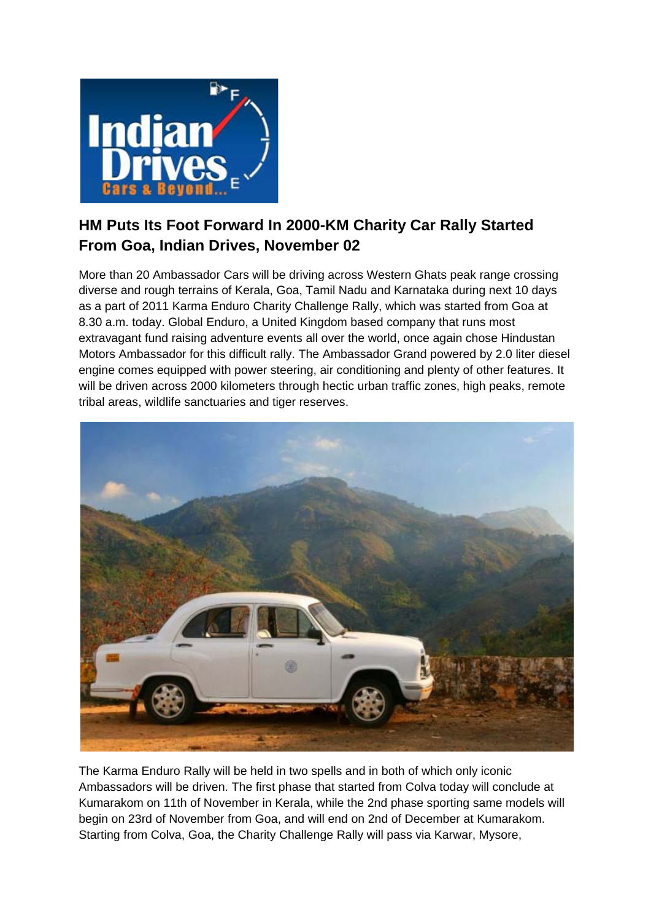

## **HM Puts Its Foot Forward In 2000-KM Charity Car Rally Started From Goa, Indian Drives, November 02**

More than 20 Ambassador Cars will be driving across Western Ghats peak range crossing diverse and rough terrains of Kerala, Goa, Tamil Nadu and Karnataka during next 10 days as a part of 2011 Karma Enduro Charity Challenge Rally, which was started from Goa at 8.30 a.m. today. Global Enduro, a United Kingdom based company that runs most extravagant fund raising adventure events all over the world, once again chose Hindustan Motors Ambassador for this difficult rally. The Ambassador Grand powered by 2.0 liter diesel engine comes equipped with power steering, air conditioning and plenty of other features. It will be driven across 2000 kilometers through hectic urban traffic zones, high peaks, remote tribal areas, wildlife sanctuaries and tiger reserves.



The Karma Enduro Rally will be held in two spells and in both of which only iconic Ambassadors will be driven. The first phase that started from Colva today will conclude at Kumarakom on 11th of November in Kerala, while the 2nd phase sporting same models will begin on 23rd of November from Goa, and will end on 2nd of December at Kumarakom. Starting from Colva, Goa, the Charity Challenge Rally will pass via Karwar, Mysore,